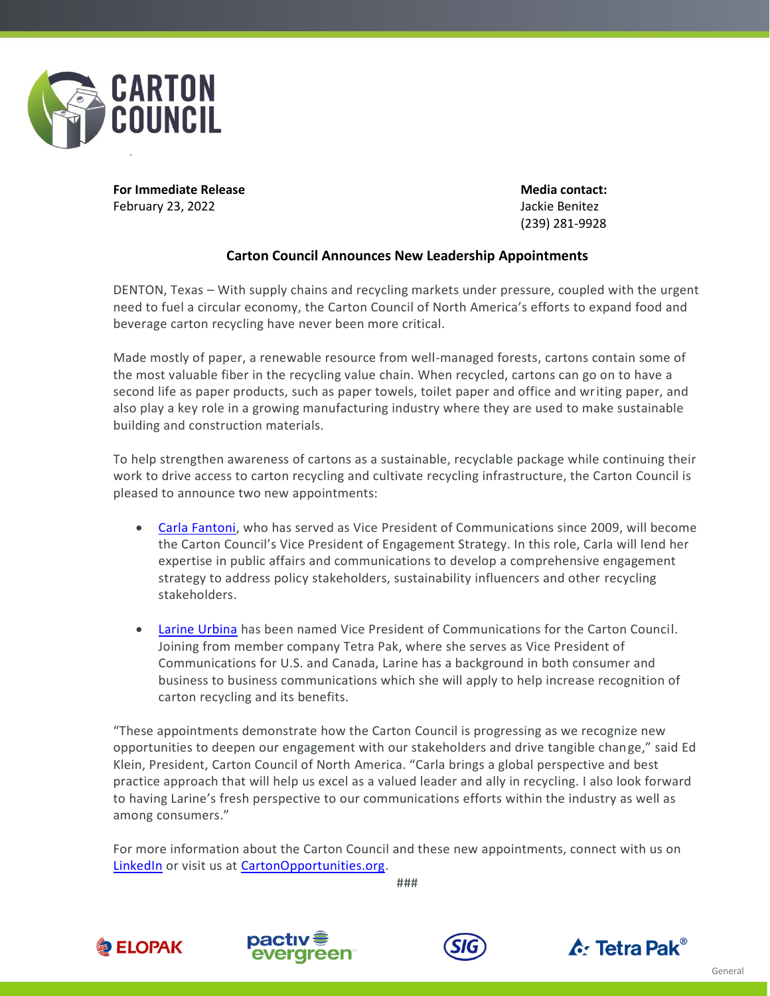

**For Immediate Release <b>Media** contact: February 23, 2022 Jackie Benitez

(239) 281-9928

## **Carton Council Announces New Leadership Appointments**

DENTON, Texas – With supply chains and recycling markets under pressure, coupled with the urgent need to fuel a circular economy, the Carton Council of North America's efforts to expand food and beverage carton recycling have never been more critical.

Made mostly of paper, a renewable resource from well-managed forests, cartons contain some of the most valuable fiber in the recycling value chain. When recycled, cartons can go on to have a second life as paper products, such as paper towels, toilet paper and office and writing paper, and also play a key role in a growing manufacturing industry where they are used to make sustainable building and construction materials.

To help strengthen awareness of cartons as a sustainable, recyclable package while continuing their work to drive access to carton recycling and cultivate recycling infrastructure, the Carton Council is pleased to announce two new appointments:

- [Carla Fantoni,](https://www.linkedin.com/in/carla-fantoni/) who has served as Vice President of Communications since 2009, will become the Carton Council's Vice President of Engagement Strategy. In this role, Carla will lend her expertise in public affairs and communications to develop a comprehensive engagement strategy to address policy stakeholders, sustainability influencers and other recycling stakeholders.
- [Larine Urbina](https://www.linkedin.com/in/larineurbina/) has been named Vice President of Communications for the Carton Council. Joining from member company Tetra Pak, where she serves as Vice President of Communications for U.S. and Canada, Larine has a background in both consumer and business to business communications which she will apply to help increase recognition of carton recycling and its benefits.

"These appointments demonstrate how the Carton Council is progressing as we recognize new opportunities to deepen our engagement with our stakeholders and drive tangible change," said Ed Klein, President, Carton Council of North America. "Carla brings a global perspective and best practice approach that will help us excel as a valued leader and ally in recycling. I also look forward to having Larine's fresh perspective to our communications efforts within the industry as well as among consumers."

For more information about the Carton Council and these new appointments, connect with us on [LinkedIn](https://www.linkedin.com/company/recyclecartons/) or visit us at [CartonOpportunities.org.](http://www.cartonopportunities.org/)

###

**DELOPAK**